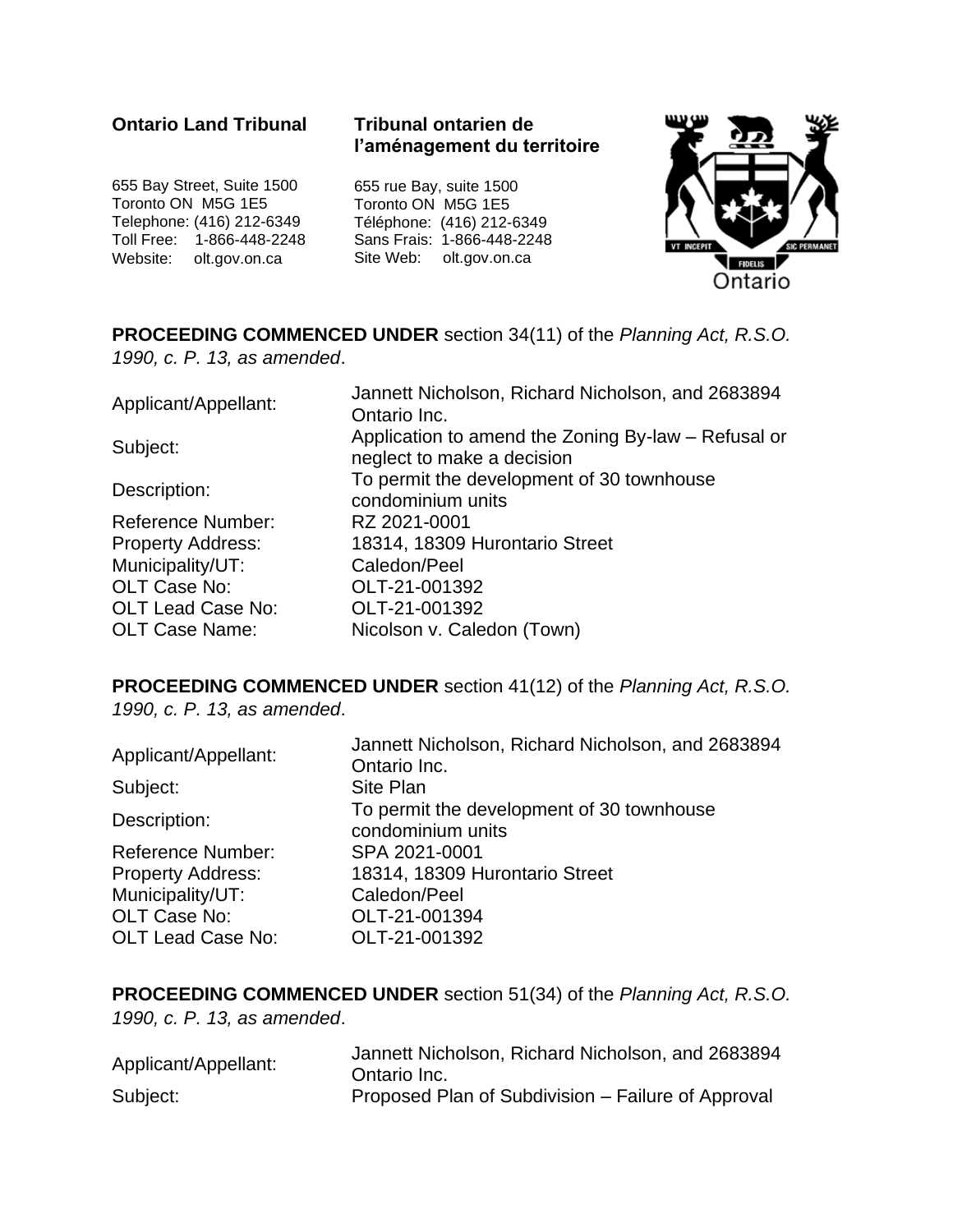#### **Ontario Land Tribunal**

#### **Tribunal ontarien de l'aménagement du territoire**

655 Bay Street, Suite 1500 Toronto ON M5G 1E5 Telephone: (416) 212-6349 Toll Free: 1-866-448-2248 Website: olt.gov.on.ca

655 rue Bay, suite 1500 Toronto ON M5G 1E5 Téléphone: (416) 212-6349 Sans Frais: 1-866-448-2248 Site Web: olt.gov.on.ca



**PROCEEDING COMMENCED UNDER** section 34(11) of the *Planning Act, R.S.O. 1990, c. P. 13, as amended*.

| Applicant/Appellant:     | Jannett Nicholson, Richard Nicholson, and 2683894   |
|--------------------------|-----------------------------------------------------|
|                          | Ontario Inc.                                        |
| Subject:                 | Application to amend the Zoning By-law – Refusal or |
|                          | neglect to make a decision                          |
| Description:             | To permit the development of 30 townhouse           |
|                          | condominium units                                   |
| <b>Reference Number:</b> | RZ 2021-0001                                        |
| <b>Property Address:</b> | 18314, 18309 Hurontario Street                      |
| Municipality/UT:         | Caledon/Peel                                        |
| OLT Case No:             | OLT-21-001392                                       |
| <b>OLT Lead Case No:</b> | OLT-21-001392                                       |
| <b>OLT Case Name:</b>    | Nicolson v. Caledon (Town)                          |

#### **PROCEEDING COMMENCED UNDER** section 41(12) of the *Planning Act, R.S.O. 1990, c. P. 13, as amended*.

| Applicant/Appellant:     | Jannett Nicholson, Richard Nicholson, and 2683894<br>Ontario Inc. |
|--------------------------|-------------------------------------------------------------------|
| Subject:                 | Site Plan                                                         |
| Description:             | To permit the development of 30 townhouse<br>condominium units    |
| <b>Reference Number:</b> | SPA 2021-0001                                                     |
| <b>Property Address:</b> | 18314, 18309 Hurontario Street                                    |
| Municipality/UT:         | Caledon/Peel                                                      |
| OLT Case No:             | OLT-21-001394                                                     |
| <b>OLT Lead Case No:</b> | OLT-21-001392                                                     |

**PROCEEDING COMMENCED UNDER** section 51(34) of the *Planning Act, R.S.O. 1990, c. P. 13, as amended*.

| Applicant/Appellant: | Jannett Nicholson, Richard Nicholson, and 2683894<br>Ontario Inc. |
|----------------------|-------------------------------------------------------------------|
| Subject:             | Proposed Plan of Subdivision – Failure of Approval                |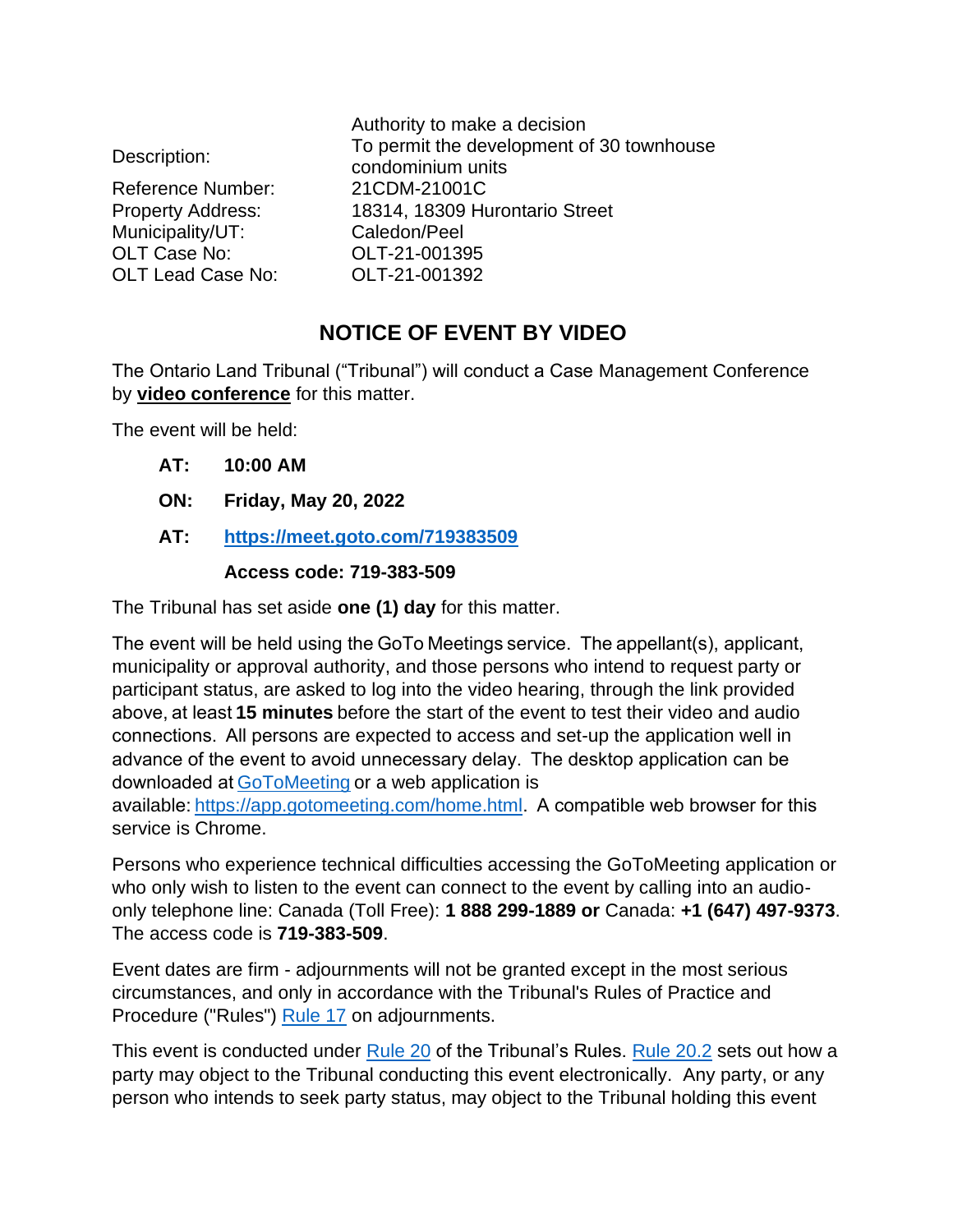|                          | Authority to make a decision                                   |
|--------------------------|----------------------------------------------------------------|
| Description:             | To permit the development of 30 townhouse<br>condominium units |
| <b>Reference Number:</b> | 21CDM-21001C                                                   |
| <b>Property Address:</b> | 18314, 18309 Hurontario Street                                 |
| Municipality/UT:         | Caledon/Peel                                                   |
| OLT Case No:             | OLT-21-001395                                                  |
| <b>OLT Lead Case No:</b> | OLT-21-001392                                                  |
|                          |                                                                |

# **NOTICE OF EVENT BY VIDEO**

The Ontario Land Tribunal ("Tribunal") will conduct a Case Management Conference by **video conference** for this matter.

The event will be held:

- **AT: 10:00 AM**
- **ON: Friday, May 20, 2022**
- **AT: <https://meet.goto.com/719383509>**

#### **Access code: 719-383-509**

The Tribunal has set aside **one (1) day** for this matter.

The event will be held using the GoTo Meetings service.  The appellant(s), applicant, municipality or approval authority, and those persons who intend to request party or participant status, are asked to log into the video hearing, through the link provided above, at least **15 minutes** before the start of the event to test their video and audio connections.  All persons are expected to access and set-up the application well in advance of the event to avoid unnecessary delay.  The desktop application can be downloaded a[t GoToMeeting](https://global.gotomeeting.com/install) or a web application is

available:[https://app.gotomeeting.com/home.html.](https://app.gotomeeting.com/home.html)  A compatible web browser for this service is Chrome.

Persons who experience technical difficulties accessing the GoToMeeting application or who only wish to listen to the event can connect to the event by calling into an audioonly telephone line: Canada (Toll Free): **1 888 299-1889 or** Canada: **+1 (647) 497-9373**. The access code is **719-383-509**.

Event dates are firm - adjournments will not be granted except in the most serious circumstances, and only in accordance with the Tribunal's Rules of Practice and Procedure ("Rules") [Rule 17](https://olt.gov.on.ca/wp-content/uploads/2021/06/Rules-of-Practice-and-Procedure.html) on adjournments.

This event is conducted under [Rule 20](https://olt.gov.on.ca/wp-content/uploads/2021/06/Rules-of-Practice-and-Procedure.html) of the Tribunal's [Rule](https://olt.gov.on.ca/wp-content/uploads/2021/06/Rules-of-Practice-and-Procedure.html)s. Rule 20.2 sets out how a party may object to the Tribunal conducting this event electronically. Any party, or any person who intends to seek party status, may object to the Tribunal holding this event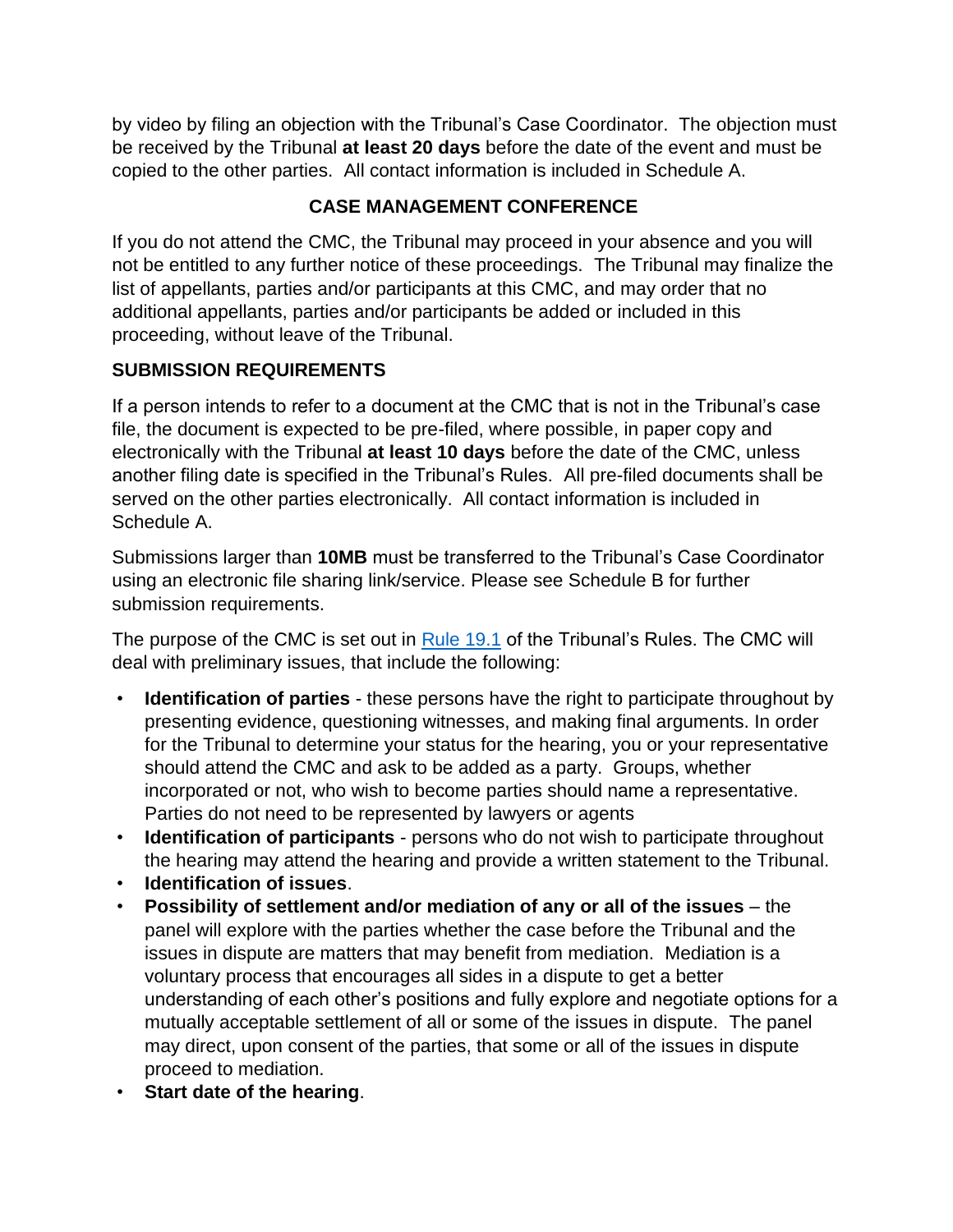by video by filing an objection with the Tribunal's Case Coordinator. The objection must be received by the Tribunal **at least 20 days** before the date of the event and must be copied to the other parties. All contact information is included in Schedule A.

## **CASE MANAGEMENT CONFERENCE**

If you do not attend the CMC, the Tribunal may proceed in your absence and you will not be entitled to any further notice of these proceedings. The Tribunal may finalize the list of appellants, parties and/or participants at this CMC, and may order that no additional appellants, parties and/or participants be added or included in this proceeding, without leave of the Tribunal.

### **SUBMISSION REQUIREMENTS**

If a person intends to refer to a document at the CMC that is not in the Tribunal's case file, the document is expected to be pre-filed, where possible, in paper copy and electronically with the Tribunal **at least 10 days** before the date of the CMC, unless another filing date is specified in the Tribunal's Rules. All pre-filed documents shall be served on the other parties electronically. All contact information is included in Schedule A.

Submissions larger than **10MB** must be transferred to the Tribunal's Case Coordinator using an electronic file sharing link/service. Please see Schedule B for further submission requirements.

The purpose of the CMC is set out in [Rule 19.1](https://olt.gov.on.ca/wp-content/uploads/2021/06/Rules-of-Practice-and-Procedure.html) of the Tribunal's Rules. The CMC will deal with preliminary issues, that include the following:

- **Identification of parties** these persons have the right to participate throughout by presenting evidence, questioning witnesses, and making final arguments. In order for the Tribunal to determine your status for the hearing, you or your representative should attend the CMC and ask to be added as a party. Groups, whether incorporated or not, who wish to become parties should name a representative. Parties do not need to be represented by lawyers or agents
- **Identification of participants** persons who do not wish to participate throughout the hearing may attend the hearing and provide a written statement to the Tribunal.
- **Identification of issues**.
- **Possibility of settlement and/or mediation of any or all of the issues** the panel will explore with the parties whether the case before the Tribunal and the issues in dispute are matters that may benefit from mediation. Mediation is a voluntary process that encourages all sides in a dispute to get a better understanding of each other's positions and fully explore and negotiate options for a mutually acceptable settlement of all or some of the issues in dispute. The panel may direct, upon consent of the parties, that some or all of the issues in dispute proceed to mediation.
- **Start date of the hearing**.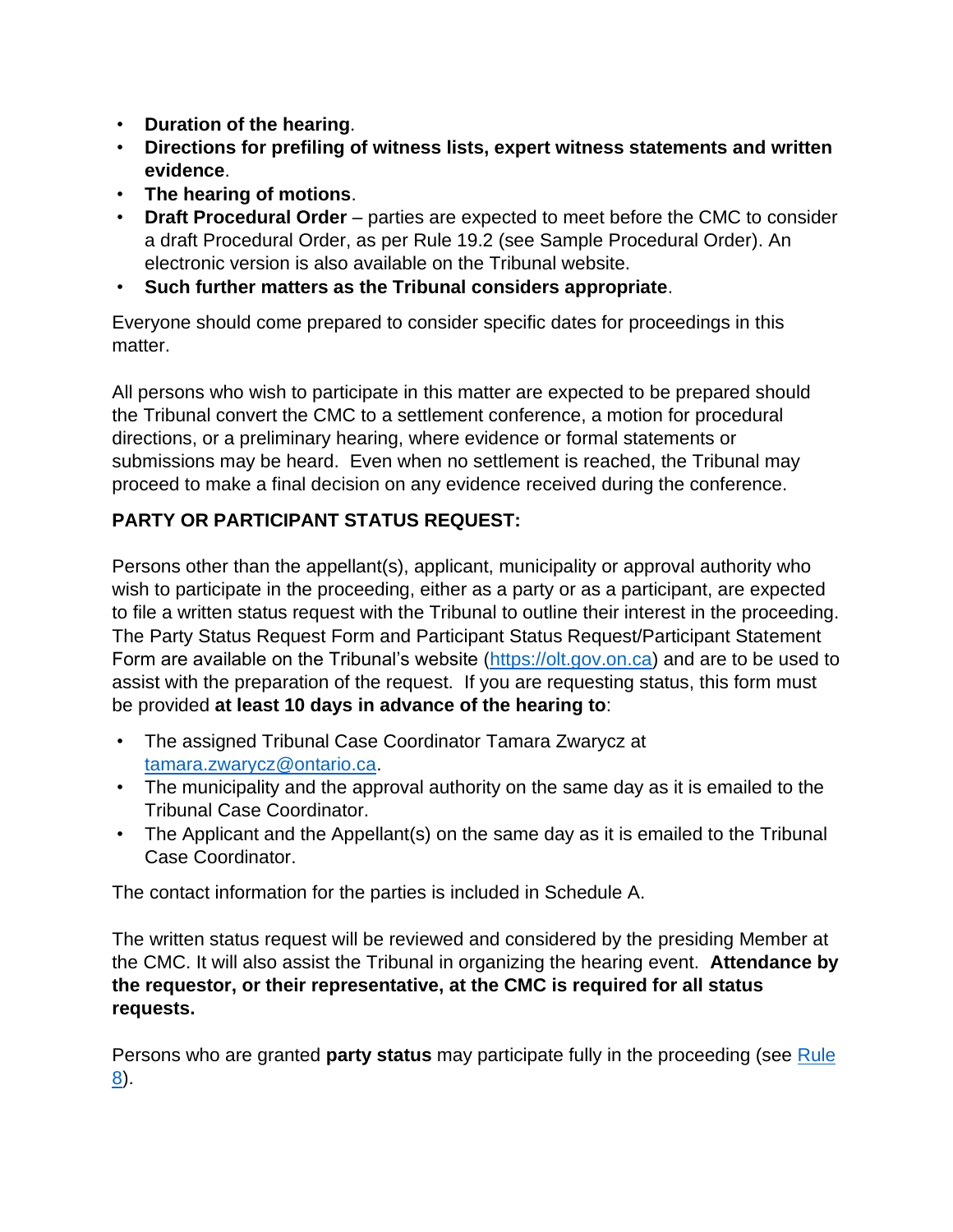- **Duration of the hearing**.
- **Directions for prefiling of witness lists, expert witness statements and written evidence**.
- **The hearing of motions**.
- **Draft Procedural Order** parties are expected to meet before the CMC to consider a draft Procedural Order, as per Rule 19.2 (see Sample Procedural Order). An electronic version is also available on the Tribunal website.
- **Such further matters as the Tribunal considers appropriate**.

Everyone should come prepared to consider specific dates for proceedings in this matter.

All persons who wish to participate in this matter are expected to be prepared should the Tribunal convert the CMC to a settlement conference, a motion for procedural directions, or a preliminary hearing, where evidence or formal statements or submissions may be heard. Even when no settlement is reached, the Tribunal may proceed to make a final decision on any evidence received during the conference.

## **PARTY OR PARTICIPANT STATUS REQUEST:**

Persons other than the appellant(s), applicant, municipality or approval authority who wish to participate in the proceeding, either as a party or as a participant, are expected to file a written status request with the Tribunal to outline their interest in the proceeding. The Party Status Request Form and Participant Status Request/Participant Statement Form are available on the Tribunal's website [\(https://olt.gov.on.ca\)](https://olt.gov.on.ca/) and are to be used to assist with the preparation of the request. If you are requesting status, this form must be provided **at least 10 days in advance of the hearing to**:

- The assigned Tribunal Case Coordinator Tamara Zwarycz at [tamara.zwarycz@ontario.ca.](mailto:tamara.zwarycz@ontario.ca)
- The municipality and the approval authority on the same day as it is emailed to the Tribunal Case Coordinator.
- The Applicant and the Appellant(s) on the same day as it is emailed to the Tribunal Case Coordinator.

The contact information for the parties is included in Schedule A.

The written status request will be reviewed and considered by the presiding Member at the CMC. It will also assist the Tribunal in organizing the hearing event. **Attendance by the requestor, or their representative, at the CMC is required for all status requests.**

Persons who are granted **party status** may participate fully in the proceeding (see [Rule](https://olt.gov.on.ca/wp-content/uploads/2021/06/Rules-of-Practice-and-Procedure.html)  [8\)](https://olt.gov.on.ca/wp-content/uploads/2021/06/Rules-of-Practice-and-Procedure.html).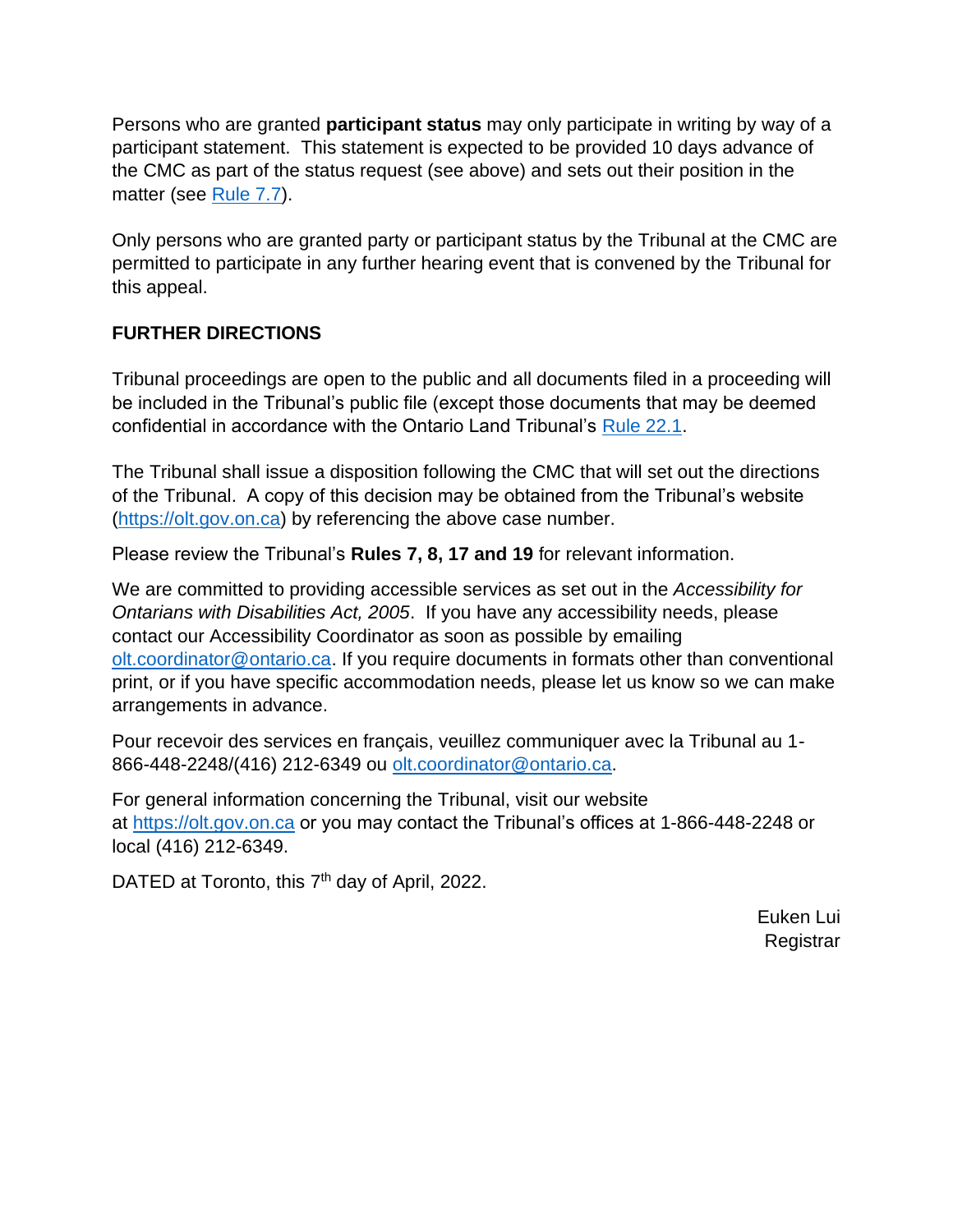Persons who are granted **participant status** may only participate in writing by way of a participant statement. This statement is expected to be provided 10 days advance of the CMC as part of the status request (see above) and sets out their position in the matter (see [Rule](https://olt.gov.on.ca/wp-content/uploads/2021/06/Rules-of-Practice-and-Procedure.html) 7.7).

Only persons who are granted party or participant status by the Tribunal at the CMC are permitted to participate in any further hearing event that is convened by the Tribunal for this appeal.

### **FURTHER DIRECTIONS**

Tribunal proceedings are open to the public and all documents filed in a proceeding will be included in the Tribunal's public file (except those documents that may be deemed confidential in accordance with the Ontario Land Tribunal's [Rule 22.1.](https://olt.gov.on.ca/wp-content/uploads/2021/06/Rules-of-Practice-and-Procedure.html)

The Tribunal shall issue a disposition following the CMC that will set out the directions of the Tribunal. A copy of this decision may be obtained from the Tribunal's website [\(https://olt.gov.on.ca\)](https://olt.gov.on.ca/) by referencing the above case number.

Please review the Tribunal's **Rules 7, 8, 17 and 19** for relevant information.

We are committed to providing accessible services as set out in the *Accessibility for Ontarians with Disabilities Act, 2005*. If you have any accessibility needs, please contact our Accessibility Coordinator as soon as possible by emailing [olt.coordinator@ontario.ca.](mailto:olt.coordinator@ontario.ca) If you require documents in formats other than conventional print, or if you have specific accommodation needs, please let us know so we can make arrangements in advance.

Pour recevoir des services en français, veuillez communiquer avec la Tribunal au 1- 866-448-2248/(416) 212-6349 ou [olt.coordinator@ontario.ca.](mailto:olt.coordinator@ontario.ca)

For general information concerning the Tribunal, visit our website at [https://olt.gov.on.ca](https://olt.gov.on.ca/) or you may contact the Tribunal's offices at 1-866-448-2248 or local (416) 212-6349.

DATED at Toronto, this 7<sup>th</sup> day of April, 2022.

Euken Lui **Registrar**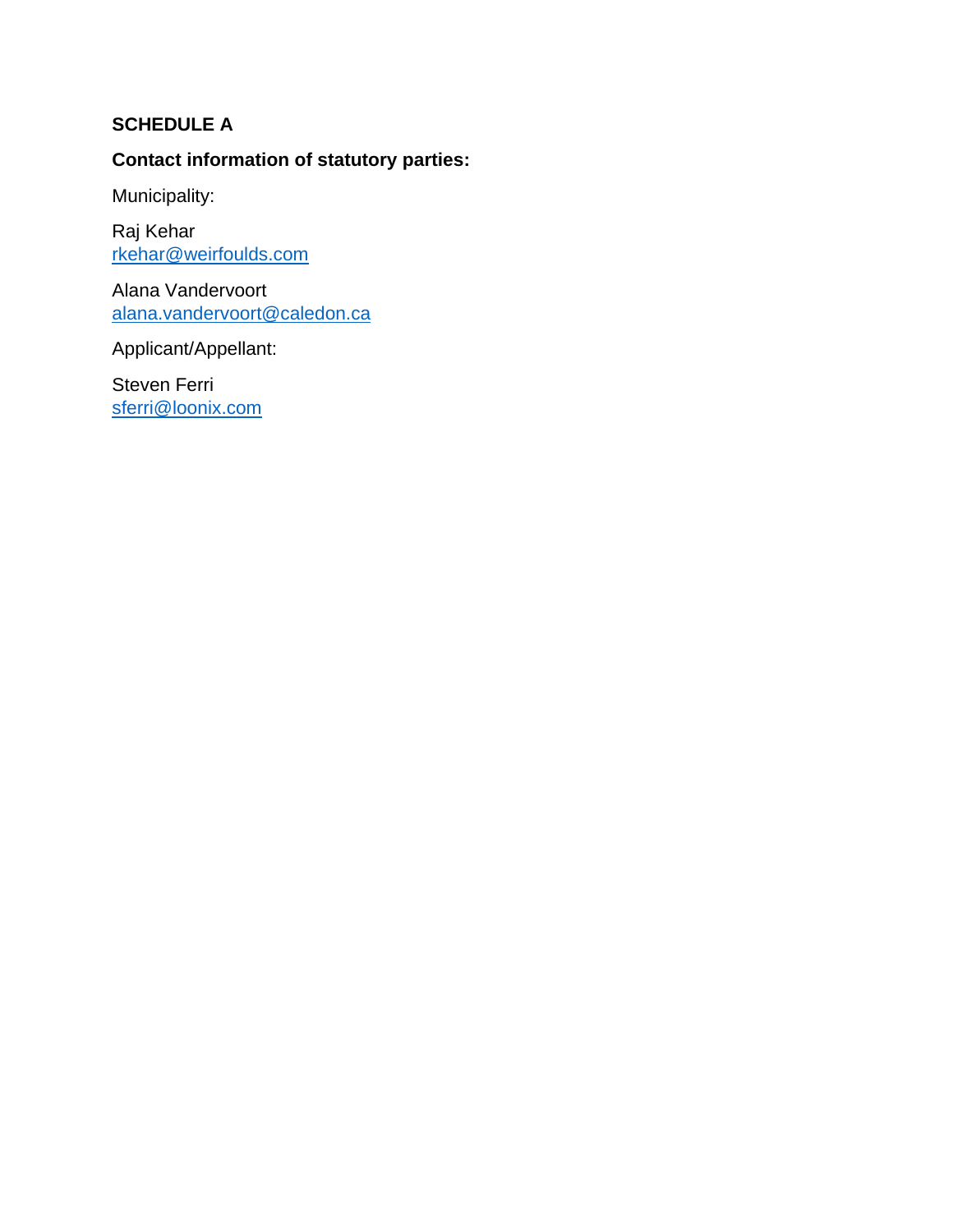## **SCHEDULE A**

## **Contact information of statutory parties:**

Municipality:

Raj Kehar [rkehar@weirfoulds.com](mailto:rkehar@weirfoulds.com)

Alana Vandervoort [alana.vandervoort@caledon.ca](mailto:alana.vandervoort@caledon.ca)

Applicant/Appellant:

Steven Ferri [sferri@loonix.com](mailto:sferri@loonix.com)